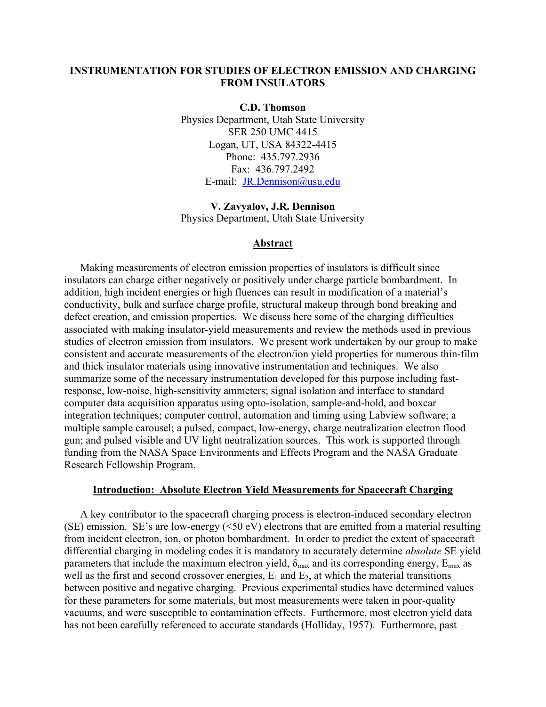# **INSTRUMENTATION FOR STUDIES OF ELECTRON EMISSION AND CHARGING FROM INSULATORS**

**C.D. Thomson**  Physics Department, Utah State University SER 250 UMC 4415 Logan, UT, USA 84322-4415 Phone: 435.797.2936 Fax: 436.797.2492 E-mail: [JR.Dennison@usu.edu](mailto:JR.Dennison@usu.edu)

**V. Zavyalov, J.R. Dennison**  Physics Department, Utah State University

### **Abstract**

Making measurements of electron emission properties of insulators is difficult since insulators can charge either negatively or positively under charge particle bombardment. In addition, high incident energies or high fluences can result in modification of a material's conductivity, bulk and surface charge profile, structural makeup through bond breaking and defect creation, and emission properties. We discuss here some of the charging difficulties associated with making insulator-yield measurements and review the methods used in previous studies of electron emission from insulators. We present work undertaken by our group to make consistent and accurate measurements of the electron/ion yield properties for numerous thin-film and thick insulator materials using innovative instrumentation and techniques. We also summarize some of the necessary instrumentation developed for this purpose including fastresponse, low-noise, high-sensitivity ammeters; signal isolation and interface to standard computer data acquisition apparatus using opto-isolation, sample-and-hold, and boxcar integration techniques; computer control, automation and timing using Labview software; a multiple sample carousel; a pulsed, compact, low-energy, charge neutralization electron flood gun; and pulsed visible and UV light neutralization sources. This work is supported through funding from the NASA Space Environments and Effects Program and the NASA Graduate Research Fellowship Program.

#### **Introduction: Absolute Electron Yield Measurements for Spacecraft Charging**

A key contributor to the spacecraft charging process is electron-induced secondary electron (SE) emission. SE's are low-energy  $(50 \text{ eV})$  electrons that are emitted from a material resulting from incident electron, ion, or photon bombardment. In order to predict the extent of spacecraft differential charging in modeling codes it is mandatory to accurately determine *absolute* SE yield parameters that include the maximum electron yield,  $\delta_{\text{max}}$  and its corresponding energy,  $E_{\text{max}}$  as well as the first and second crossover energies,  $E_1$  and  $E_2$ , at which the material transitions between positive and negative charging. Previous experimental studies have determined values for these parameters for some materials, but most measurements were taken in poor-quality vacuums, and were susceptible to contamination effects. Furthermore, most electron yield data has not been carefully referenced to accurate standards (Holliday, 1957). Furthermore, past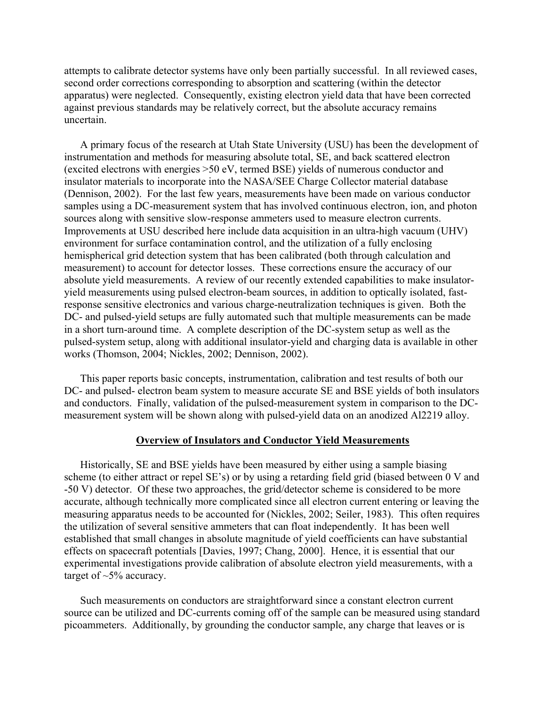attempts to calibrate detector systems have only been partially successful. In all reviewed cases, second order corrections corresponding to absorption and scattering (within the detector apparatus) were neglected. Consequently, existing electron yield data that have been corrected against previous standards may be relatively correct, but the absolute accuracy remains uncertain.

A primary focus of the research at Utah State University (USU) has been the development of instrumentation and methods for measuring absolute total, SE, and back scattered electron (excited electrons with energies >50 eV, termed BSE) yields of numerous conductor and insulator materials to incorporate into the NASA/SEE Charge Collector material database (Dennison, 2002). For the last few years, measurements have been made on various conductor samples using a DC-measurement system that has involved continuous electron, ion, and photon sources along with sensitive slow-response ammeters used to measure electron currents. Improvements at USU described here include data acquisition in an ultra-high vacuum (UHV) environment for surface contamination control, and the utilization of a fully enclosing hemispherical grid detection system that has been calibrated (both through calculation and measurement) to account for detector losses. These corrections ensure the accuracy of our absolute yield measurements. A review of our recently extended capabilities to make insulatoryield measurements using pulsed electron-beam sources, in addition to optically isolated, fastresponse sensitive electronics and various charge-neutralization techniques is given. Both the DC- and pulsed-yield setups are fully automated such that multiple measurements can be made in a short turn-around time. A complete description of the DC-system setup as well as the pulsed-system setup, along with additional insulator-yield and charging data is available in other works (Thomson, 2004; Nickles, 2002; Dennison, 2002).

This paper reports basic concepts, instrumentation, calibration and test results of both our DC- and pulsed- electron beam system to measure accurate SE and BSE yields of both insulators and conductors. Finally, validation of the pulsed-measurement system in comparison to the DCmeasurement system will be shown along with pulsed-yield data on an anodized Al2219 alloy.

## **Overview of Insulators and Conductor Yield Measurements**

Historically, SE and BSE yields have been measured by either using a sample biasing scheme (to either attract or repel SE's) or by using a retarding field grid (biased between 0 V and -50 V) detector. Of these two approaches, the grid/detector scheme is considered to be more accurate, although technically more complicated since all electron current entering or leaving the measuring apparatus needs to be accounted for (Nickles, 2002; Seiler, 1983). This often requires the utilization of several sensitive ammeters that can float independently. It has been well established that small changes in absolute magnitude of yield coefficients can have substantial effects on spacecraft potentials [Davies, 1997; Chang, 2000]. Hence, it is essential that our experimental investigations provide calibration of absolute electron yield measurements, with a target of  $\sim$ 5% accuracy.

Such measurements on conductors are straightforward since a constant electron current source can be utilized and DC-currents coming off of the sample can be measured using standard picoammeters. Additionally, by grounding the conductor sample, any charge that leaves or is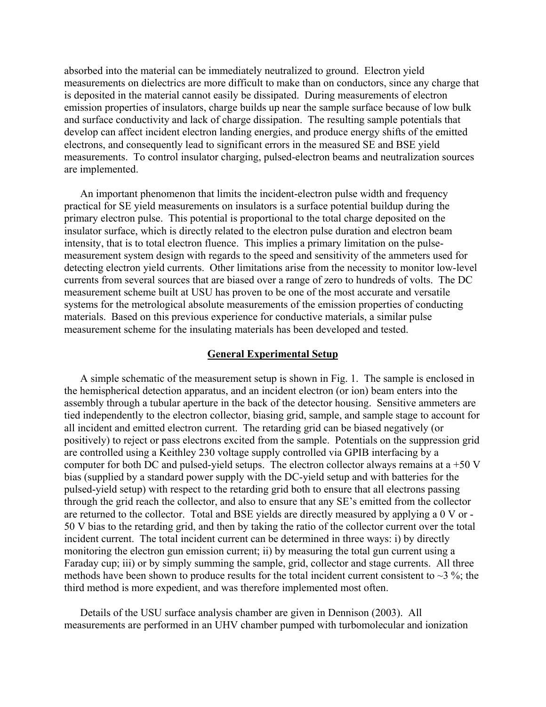absorbed into the material can be immediately neutralized to ground. Electron yield measurements on dielectrics are more difficult to make than on conductors, since any charge that is deposited in the material cannot easily be dissipated. During measurements of electron emission properties of insulators, charge builds up near the sample surface because of low bulk and surface conductivity and lack of charge dissipation. The resulting sample potentials that develop can affect incident electron landing energies, and produce energy shifts of the emitted electrons, and consequently lead to significant errors in the measured SE and BSE yield measurements. To control insulator charging, pulsed-electron beams and neutralization sources are implemented.

An important phenomenon that limits the incident-electron pulse width and frequency practical for SE yield measurements on insulators is a surface potential buildup during the primary electron pulse. This potential is proportional to the total charge deposited on the insulator surface, which is directly related to the electron pulse duration and electron beam intensity, that is to total electron fluence. This implies a primary limitation on the pulsemeasurement system design with regards to the speed and sensitivity of the ammeters used for detecting electron yield currents. Other limitations arise from the necessity to monitor low-level currents from several sources that are biased over a range of zero to hundreds of volts. The DC measurement scheme built at USU has proven to be one of the most accurate and versatile systems for the metrological absolute measurements of the emission properties of conducting materials. Based on this previous experience for conductive materials, a similar pulse measurement scheme for the insulating materials has been developed and tested.

### **General Experimental Setup**

A simple schematic of the measurement setup is shown in Fig. 1. The sample is enclosed in the hemispherical detection apparatus, and an incident electron (or ion) beam enters into the assembly through a tubular aperture in the back of the detector housing. Sensitive ammeters are tied independently to the electron collector, biasing grid, sample, and sample stage to account for all incident and emitted electron current. The retarding grid can be biased negatively (or positively) to reject or pass electrons excited from the sample. Potentials on the suppression grid are controlled using a Keithley 230 voltage supply controlled via GPIB interfacing by a computer for both DC and pulsed-yield setups. The electron collector always remains at a +50 V bias (supplied by a standard power supply with the DC-yield setup and with batteries for the pulsed-yield setup) with respect to the retarding grid both to ensure that all electrons passing through the grid reach the collector, and also to ensure that any SE's emitted from the collector are returned to the collector. Total and BSE yields are directly measured by applying a 0 V or - 50 V bias to the retarding grid, and then by taking the ratio of the collector current over the total incident current. The total incident current can be determined in three ways: i) by directly monitoring the electron gun emission current; ii) by measuring the total gun current using a Faraday cup; iii) or by simply summing the sample, grid, collector and stage currents. All three methods have been shown to produce results for the total incident current consistent to  $\sim$ 3 %; the third method is more expedient, and was therefore implemented most often.

Details of the USU surface analysis chamber are given in Dennison (2003). All measurements are performed in an UHV chamber pumped with turbomolecular and ionization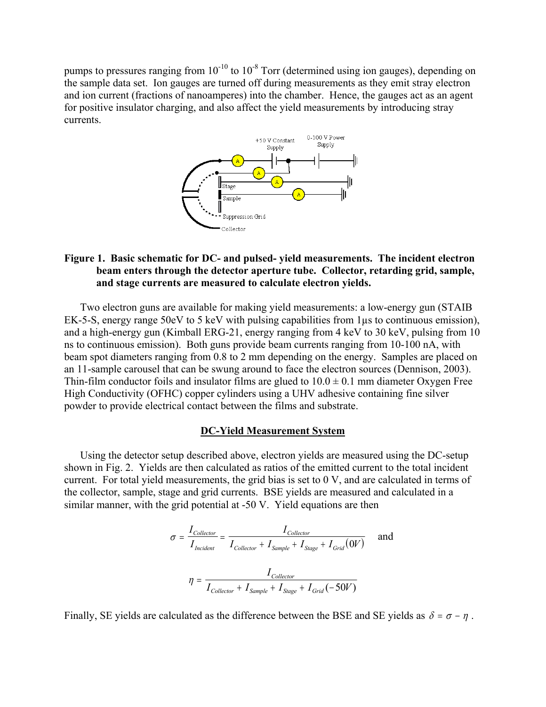pumps to pressures ranging from  $10^{-10}$  to  $10^{-8}$  Torr (determined using ion gauges), depending on the sample data set. Ion gauges are turned off during measurements as they emit stray electron and ion current (fractions of nanoamperes) into the chamber. Hence, the gauges act as an agent for positive insulator charging, and also affect the yield measurements by introducing stray currents.



# **Figure 1. Basic schematic for DC- and pulsed- yield measurements. The incident electron beam enters through the detector aperture tube. Collector, retarding grid, sample, and stage currents are measured to calculate electron yields.**

Two electron guns are available for making yield measurements: a low-energy gun (STAIB EK-5-S, energy range 50eV to 5 keV with pulsing capabilities from 1  $\mu$ s to continuous emission), and a high-energy gun (Kimball ERG-21, energy ranging from 4 keV to 30 keV, pulsing from 10 ns to continuous emission). Both guns provide beam currents ranging from 10-100 nA, with beam spot diameters ranging from 0.8 to 2 mm depending on the energy. Samples are placed on an 11-sample carousel that can be swung around to face the electron sources (Dennison, 2003). Thin-film conductor foils and insulator films are glued to  $10.0 \pm 0.1$  mm diameter Oxygen Free High Conductivity (OFHC) copper cylinders using a UHV adhesive containing fine silver powder to provide electrical contact between the films and substrate.

# **DC-Yield Measurement System**

Using the detector setup described above, electron yields are measured using the DC-setup shown in Fig. 2. Yields are then calculated as ratios of the emitted current to the total incident current. For total yield measurements, the grid bias is set to 0 V, and are calculated in terms of the collector, sample, stage and grid currents. BSE yields are measured and calculated in a similar manner, with the grid potential at -50 V. Yield equations are then

$$
\sigma = \frac{I_{Collector}}{I_{Incident}} = \frac{I_{Collector}}{I_{Collector} + I_{Sample} + I_{Stage} + I_{Grid}(0V)} \quad \text{and}
$$
\n
$$
\eta = \frac{I_{Collector}}{I_{Collector} + I_{Sample} + I_{Stage} + I_{Grid}(-50V)}
$$

Finally, SE yields are calculated as the difference between the BSE and SE yields as  $\delta = \sigma - \eta$ .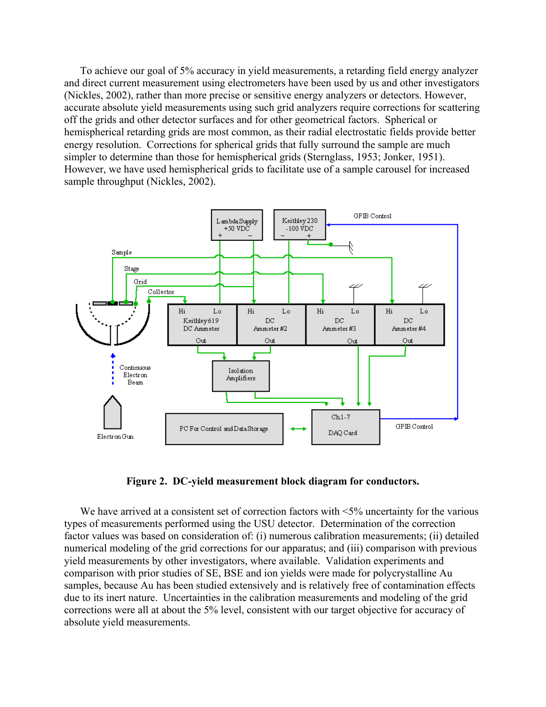To achieve our goal of 5% accuracy in yield measurements, a retarding field energy analyzer and direct current measurement using electrometers have been used by us and other investigators (Nickles, 2002), rather than more precise or sensitive energy analyzers or detectors. However, accurate absolute yield measurements using such grid analyzers require corrections for scattering off the grids and other detector surfaces and for other geometrical factors. Spherical or hemispherical retarding grids are most common, as their radial electrostatic fields provide better energy resolution. Corrections for spherical grids that fully surround the sample are much simpler to determine than those for hemispherical grids (Sternglass, 1953; Jonker, 1951). However, we have used hemispherical grids to facilitate use of a sample carousel for increased sample throughput (Nickles, 2002).



**Figure 2. DC-yield measurement block diagram for conductors.** 

We have arrived at a consistent set of correction factors with  $\leq 5\%$  uncertainty for the various types of measurements performed using the USU detector. Determination of the correction factor values was based on consideration of: (i) numerous calibration measurements; (ii) detailed numerical modeling of the grid corrections for our apparatus; and (iii) comparison with previous yield measurements by other investigators, where available. Validation experiments and comparison with prior studies of SE, BSE and ion yields were made for polycrystalline Au samples, because Au has been studied extensively and is relatively free of contamination effects due to its inert nature. Uncertainties in the calibration measurements and modeling of the grid corrections were all at about the 5% level, consistent with our target objective for accuracy of absolute yield measurements.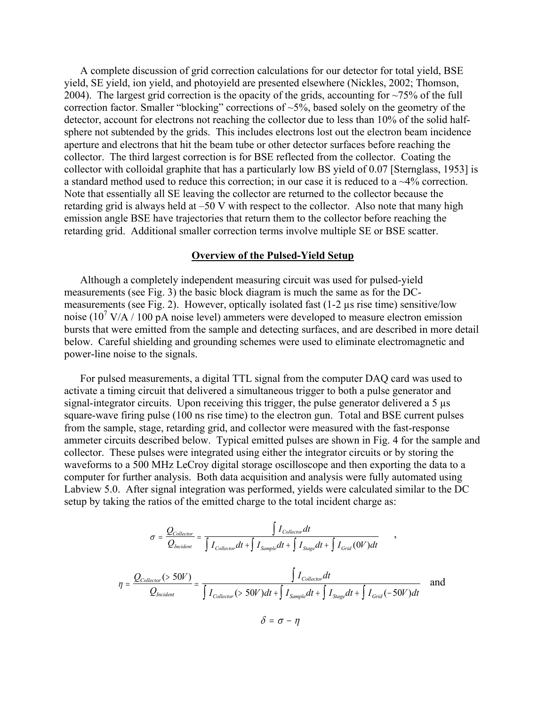A complete discussion of grid correction calculations for our detector for total yield, BSE yield, SE yield, ion yield, and photoyield are presented elsewhere (Nickles, 2002; Thomson, 2004). The largest grid correction is the opacity of the grids, accounting for  $\sim$ 75% of the full correction factor. Smaller "blocking" corrections of ~5%, based solely on the geometry of the detector, account for electrons not reaching the collector due to less than 10% of the solid halfsphere not subtended by the grids. This includes electrons lost out the electron beam incidence aperture and electrons that hit the beam tube or other detector surfaces before reaching the collector. The third largest correction is for BSE reflected from the collector. Coating the collector with colloidal graphite that has a particularly low BS yield of 0.07 [Sternglass, 1953] is a standard method used to reduce this correction; in our case it is reduced to a ~4% correction. Note that essentially all SE leaving the collector are returned to the collector because the retarding grid is always held at –50 V with respect to the collector. Also note that many high emission angle BSE have trajectories that return them to the collector before reaching the retarding grid. Additional smaller correction terms involve multiple SE or BSE scatter.

## **Overview of the Pulsed-Yield Setup**

Although a completely independent measuring circuit was used for pulsed-yield measurements (see Fig. 3) the basic block diagram is much the same as for the DCmeasurements (see Fig. 2). However, optically isolated fast (1-2 µs rise time) sensitive/low noise ( $10^7$  V/A  $/$  100 pA noise level) ammeters were developed to measure electron emission bursts that were emitted from the sample and detecting surfaces, and are described in more detail below. Careful shielding and grounding schemes were used to eliminate electromagnetic and power-line noise to the signals.

For pulsed measurements, a digital TTL signal from the computer DAQ card was used to activate a timing circuit that delivered a simultaneous trigger to both a pulse generator and signal-integrator circuits. Upon receiving this trigger, the pulse generator delivered a 5  $\mu$ s square-wave firing pulse (100 ns rise time) to the electron gun. Total and BSE current pulses from the sample, stage, retarding grid, and collector were measured with the fast-response ammeter circuits described below. Typical emitted pulses are shown in Fig. 4 for the sample and collector. These pulses were integrated using either the integrator circuits or by storing the waveforms to a 500 MHz LeCroy digital storage oscilloscope and then exporting the data to a computer for further analysis. Both data acquisition and analysis were fully automated using Labview 5.0. After signal integration was performed, yields were calculated similar to the DC setup by taking the ratios of the emitted charge to the total incident charge as:

$$
\sigma = \frac{Q_{Collection}}{Q_{Incident}} = \frac{\int I_{Collection} dt}{\int I_{Collection} dt + \int I_{Sample} dt + \int I_{Stage} dt + \int I_{Grid}(0V) dt}
$$
\n
$$
\eta = \frac{Q_{Collection}(>50V)}{Q_{Incident}} = \frac{\int I_{Collection} dt}{\int I_{Collection}(>50V)dt + \int I_{Sample} dt + \int I_{Stage} dt + \int I_{Grid}(-50V)dt}
$$
 and\n
$$
\delta = \sigma - \eta
$$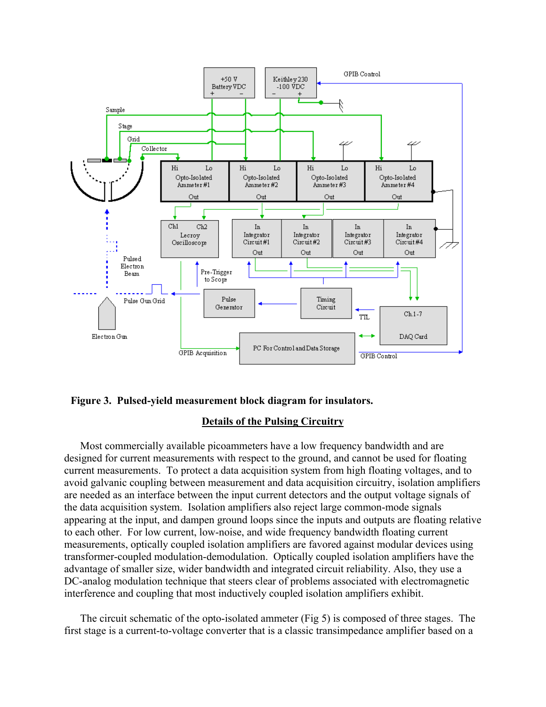



# **Details of the Pulsing Circuitry**

Most commercially available picoammeters have a low frequency bandwidth and are designed for current measurements with respect to the ground, and cannot be used for floating current measurements. To protect a data acquisition system from high floating voltages, and to avoid galvanic coupling between measurement and data acquisition circuitry, isolation amplifiers are needed as an interface between the input current detectors and the output voltage signals of the data acquisition system. Isolation amplifiers also reject large common-mode signals appearing at the input, and dampen ground loops since the inputs and outputs are floating relative to each other. For low current, low-noise, and wide frequency bandwidth floating current measurements, optically coupled isolation amplifiers are favored against modular devices using transformer-coupled modulation-demodulation. Optically coupled isolation amplifiers have the advantage of smaller size, wider bandwidth and integrated circuit reliability. Also, they use a DC-analog modulation technique that steers clear of problems associated with electromagnetic interference and coupling that most inductively coupled isolation amplifiers exhibit.

The circuit schematic of the opto-isolated ammeter (Fig 5) is composed of three stages. The first stage is a current-to-voltage converter that is a classic transimpedance amplifier based on a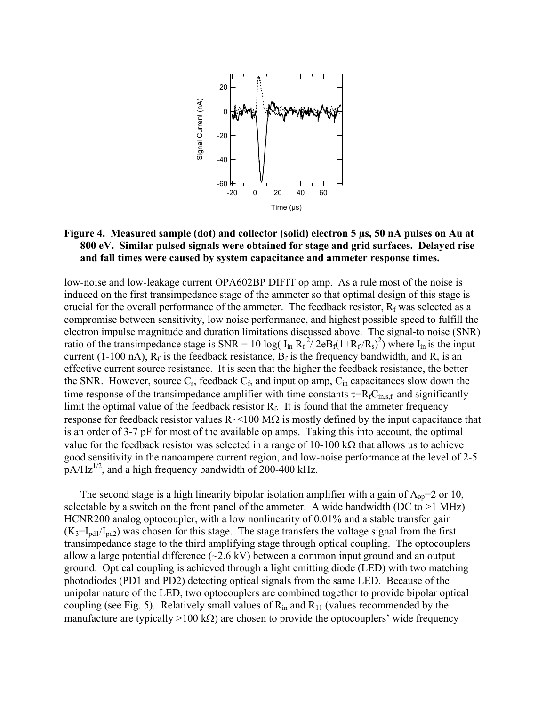

# **Figure 4. Measured sample (dot) and collector (solid) electron 5 µs, 50 nA pulses on Au at 800 eV. Similar pulsed signals were obtained for stage and grid surfaces. Delayed rise and fall times were caused by system capacitance and ammeter response times.**

low-noise and low-leakage current OPA602BP DIFIT op amp. As a rule most of the noise is induced on the first transimpedance stage of the ammeter so that optimal design of this stage is crucial for the overall performance of the ammeter. The feedback resistor,  $R_f$  was selected as a compromise between sensitivity, low noise performance, and highest possible speed to fulfill the electron impulse magnitude and duration limitations discussed above. The signal-to noise (SNR) ratio of the transimpedance stage is  $SNR = 10 \log( I_{in} R_f^2 / 2eB_f (1 + R_f/R_s)^2)$  where  $I_{in}$  is the input current (1-100 nA),  $R_f$  is the feedback resistance,  $B_f$  is the frequency bandwidth, and  $R_s$  is an effective current source resistance. It is seen that the higher the feedback resistance, the better the SNR. However, source  $C_s$ , feedback  $C_f$ , and input op amp,  $C_{in}$  capacitances slow down the time response of the transimpedance amplifier with time constants  $\tau = R_f C_{\text{in,s,f}}$  and significantly limit the optimal value of the feedback resistor  $R_f$ . It is found that the ammeter frequency response for feedback resistor values  $R_f$ <100 M $\Omega$  is mostly defined by the input capacitance that is an order of 3-7 pF for most of the available op amps. Taking this into account, the optimal value for the feedback resistor was selected in a range of 10-100 kΩ that allows us to achieve good sensitivity in the nanoampere current region, and low-noise performance at the level of 2-5  $pA/Hz^{1/2}$ , and a high frequency bandwidth of 200-400 kHz.

The second stage is a high linearity bipolar isolation amplifier with a gain of  $A_{op}=2$  or 10, selectable by a switch on the front panel of the ammeter. A wide bandwidth (DC to  $>1$  MHz) HCNR200 analog optocoupler, with a low nonlinearity of 0.01% and a stable transfer gain  $(K_3=I_{\text{pd1}}/I_{\text{pd2}})$  was chosen for this stage. The stage transfers the voltage signal from the first transimpedance stage to the third amplifying stage through optical coupling. The optocouplers allow a large potential difference  $(\sim 2.6 \text{ kV})$  between a common input ground and an output ground. Optical coupling is achieved through a light emitting diode (LED) with two matching photodiodes (PD1 and PD2) detecting optical signals from the same LED. Because of the unipolar nature of the LED, two optocouplers are combined together to provide bipolar optical coupling (see Fig. 5). Relatively small values of  $R_{in}$  and  $R_{11}$  (values recommended by the manufacture are typically >100 k $\Omega$ ) are chosen to provide the optocouplers' wide frequency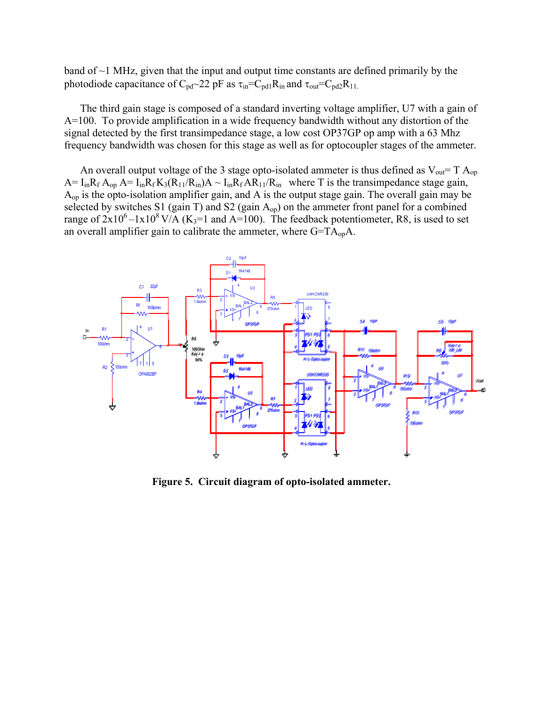band of ~1 MHz, given that the input and output time constants are defined primarily by the photodiode capacitance of  $C_{\text{nd}}$ ~22 pF as  $\tau_{\text{in}}=C_{\text{nd}}R_{\text{in}}$  and  $\tau_{\text{out}}=C_{\text{nd}}2R_{11}$ .

The third gain stage is composed of a standard inverting voltage amplifier, U7 with a gain of A=100. To provide amplification in a wide frequency bandwidth without any distortion of the signal detected by the first transimpedance stage, a low cost OP37GP op amp with a 63 Mhz frequency bandwidth was chosen for this stage as well as for optocoupler stages of the ammeter.

An overall output voltage of the 3 stage opto-isolated ammeter is thus defined as  $V_{out} = T A_{op}$  $A = I_{in}R_f A_{op} A = I_{in}R_f K_3(R_{11}/R_{in})A \sim I_{in}R_f AR_{11}/R_{in}$  where T is the transimpedance stage gain,  $A_{op}$  is the opto-isolation amplifier gain, and A is the output stage gain. The overall gain may be selected by switches S1 (gain T) and S2 (gain  $A_{op}$ ) on the ammeter front panel for a combined range of  $2x10^6 - 1x10^8$  V/A (K<sub>3</sub>=1 and A=100). The feedback potentiometer, R8, is used to set an overall amplifier gain to calibrate the ammeter, where G=TAopA.



**Figure 5. Circuit diagram of opto-isolated ammeter.**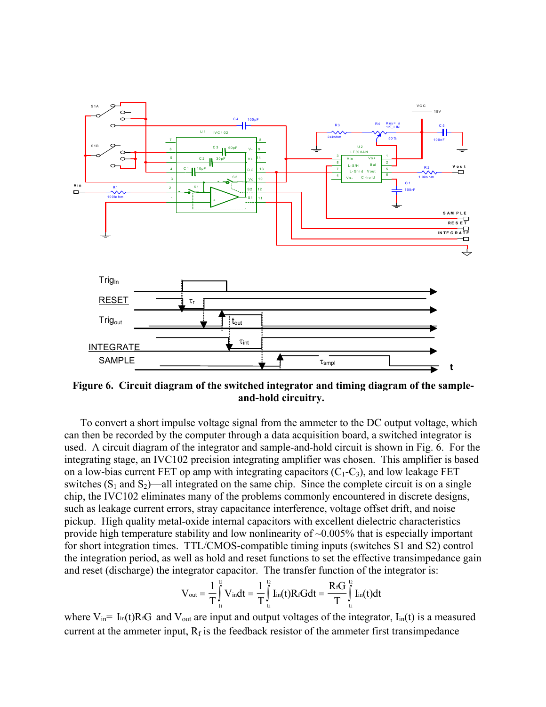

**Figure 6. Circuit diagram of the switched integrator and timing diagram of the sampleand-hold circuitry.** 

To convert a short impulse voltage signal from the ammeter to the DC output voltage, which can then be recorded by the computer through a data acquisition board, a switched integrator is used. A circuit diagram of the integrator and sample-and-hold circuit is shown in Fig. 6. For the integrating stage, an IVC102 precision integrating amplifier was chosen. This amplifier is based on a low-bias current FET op amp with integrating capacitors  $(C_1-C_3)$ , and low leakage FET switches  $(S_1 \text{ and } S_2)$ —all integrated on the same chip. Since the complete circuit is on a single chip, the IVC102 eliminates many of the problems commonly encountered in discrete designs, such as leakage current errors, stray capacitance interference, voltage offset drift, and noise pickup. High quality metal-oxide internal capacitors with excellent dielectric characteristics provide high temperature stability and low nonlinearity of  $\sim 0.005\%$  that is especially important for short integration times. TTL/CMOS-compatible timing inputs (switches S1 and S2) control the integration period, as well as hold and reset functions to set the effective transimpedance gain and reset (discharge) the integrator capacitor. The transfer function of the integrator is:

$$
V_{out} = \frac{1}{T}\int_{t_1}^{t_2}V_{in}dt = \frac{1}{T}\int_{t_1}^{t_2}I_{in}(t)R_tGdt = \frac{R_tG}{T}\int_{t_1}^{t_2}I_{in}(t)dt
$$

where  $V_{in}$  I<sub>in</sub>(t)R<sub>fG</sub> and  $V_{out}$  are input and output voltages of the integrator, I<sub>in</sub>(t) is a measured current at the ammeter input,  $R_f$  is the feedback resistor of the ammeter first transimpedance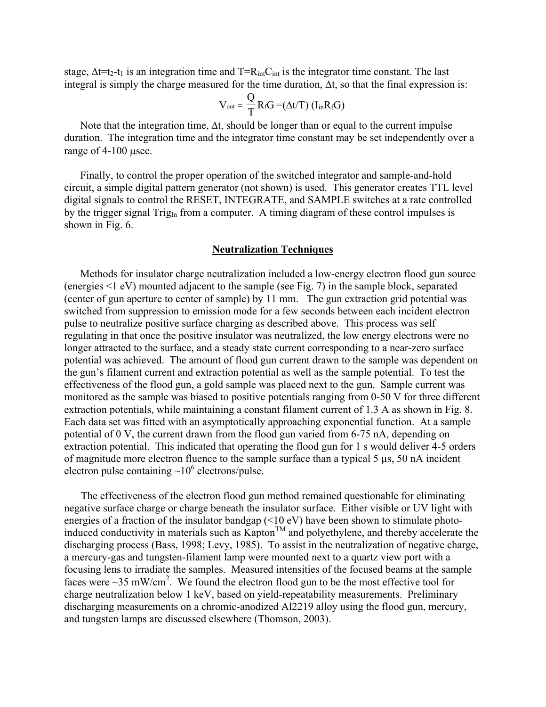stage,  $\Delta t = t_2 - t_1$  is an integration time and T=R<sub>int</sub>C<sub>int</sub> is the integrator time constant. The last integral is simply the charge measured for the time duration, ∆t, so that the final expression is:

$$
V_{\text{out}} = \frac{Q}{T}\,R_f G \mathop{=}(\Delta t/T)\,\left(I_{\text{in}} R_f G\right)
$$

Note that the integration time,  $\Delta t$ , should be longer than or equal to the current impulse duration. The integration time and the integrator time constant may be set independently over a range of 4-100 µsec.

Finally, to control the proper operation of the switched integrator and sample-and-hold circuit, a simple digital pattern generator (not shown) is used. This generator creates TTL level digital signals to control the RESET, INTEGRATE, and SAMPLE switches at a rate controlled by the trigger signal  $\text{Trig}_{\text{In}}$  from a computer. A timing diagram of these control impulses is shown in Fig. 6.

### **Neutralization Techniques**

Methods for insulator charge neutralization included a low-energy electron flood gun source (energies <1 eV) mounted adjacent to the sample (see Fig. 7) in the sample block, separated (center of gun aperture to center of sample) by 11 mm. The gun extraction grid potential was switched from suppression to emission mode for a few seconds between each incident electron pulse to neutralize positive surface charging as described above. This process was self regulating in that once the positive insulator was neutralized, the low energy electrons were no longer attracted to the surface, and a steady state current corresponding to a near-zero surface potential was achieved. The amount of flood gun current drawn to the sample was dependent on the gun's filament current and extraction potential as well as the sample potential. To test the effectiveness of the flood gun, a gold sample was placed next to the gun. Sample current was monitored as the sample was biased to positive potentials ranging from 0-50 V for three different extraction potentials, while maintaining a constant filament current of 1.3 A as shown in Fig. 8. Each data set was fitted with an asymptotically approaching exponential function. At a sample potential of 0 V, the current drawn from the flood gun varied from 6-75 nA, depending on extraction potential. This indicated that operating the flood gun for 1 s would deliver 4-5 orders of magnitude more electron fluence to the sample surface than a typical 5 µs, 50 nA incident electron pulse containing  $\sim 10^6$  electrons/pulse.

The effectiveness of the electron flood gun method remained questionable for eliminating negative surface charge or charge beneath the insulator surface. Either visible or UV light with energies of a fraction of the insulator bandgap (<10 eV) have been shown to stimulate photoinduced conductivity in materials such as  $Kapton^{TM}$  and polyethylene, and thereby accelerate the discharging process (Bass, 1998; Levy, 1985). To assist in the neutralization of negative charge, a mercury-gas and tungsten-filament lamp were mounted next to a quartz view port with a focusing lens to irradiate the samples. Measured intensities of the focused beams at the sample faces were  $\sim$ 35 mW/cm<sup>2</sup>. We found the electron flood gun to be the most effective tool for charge neutralization below 1 keV, based on yield-repeatability measurements. Preliminary discharging measurements on a chromic-anodized Al2219 alloy using the flood gun, mercury, and tungsten lamps are discussed elsewhere (Thomson, 2003).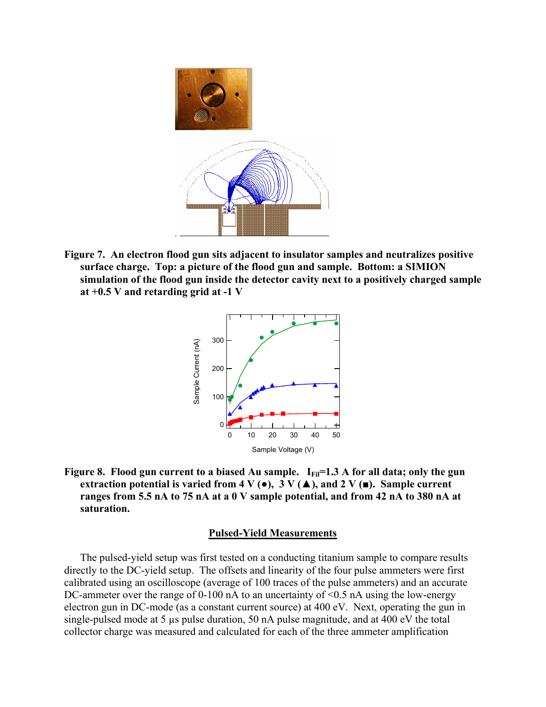

**Figure 7. An electron flood gun sits adjacent to insulator samples and neutralizes positive surface charge. Top: a picture of the flood gun and sample. Bottom: a SIMION simulation of the flood gun inside the detector cavity next to a positively charged sample at +0.5 V and retarding grid at -1 V** 



Figure 8. Flood gun current to a biased Au sample. I<sub>Fil</sub>=1.3 A for all data; only the gun **extraction potential is varied from 4 V (** $\bullet$ **), 3 V (** $\blacktriangle$ **), and 2 V (** $\blacksquare$ **). Sample current ranges from 5.5 nA to 75 nA at a 0 V sample potential, and from 42 nA to 380 nA at saturation.**

## **Pulsed-Yield Measurements**

The pulsed-yield setup was first tested on a conducting titanium sample to compare results directly to the DC-yield setup. The offsets and linearity of the four pulse ammeters were first calibrated using an oscilloscope (average of 100 traces of the pulse ammeters) and an accurate DC-ammeter over the range of 0-100 nA to an uncertainty of <0.5 nA using the low-energy electron gun in DC-mode (as a constant current source) at 400 eV. Next, operating the gun in single-pulsed mode at 5 µs pulse duration, 50 nA pulse magnitude, and at 400 eV the total collector charge was measured and calculated for each of the three ammeter amplification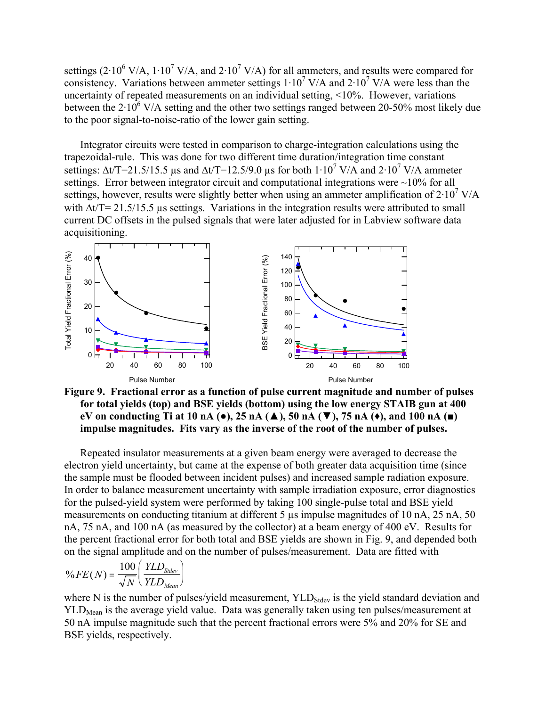settings (2 $\cdot$ 10<sup>6</sup> V/A, 1 $\cdot$ 10<sup>7</sup> V/A, and 2 $\cdot$ 10<sup>7</sup> V/A) for all ammeters, and results were compared for consistency. Variations between ammeter settings  $1 \cdot 10^7$  V/A and  $2 \cdot 10^7$  V/A were less than the uncertainty of repeated measurements on an individual setting, <10%. However, variations between the  $2.10^6$  V/A setting and the other two settings ranged between 20-50% most likely due to the poor signal-to-noise-ratio of the lower gain setting.

Integrator circuits were tested in comparison to charge-integration calculations using the trapezoidal-rule. This was done for two different time duration/integration time constant settings:  $\Delta t/T = 21.5/15.5$  µs and  $\Delta t/T = 12.5/9.0$  µs for both  $1.10^7$  V/A and  $2.10^7$  V/A ammeter settings. Error between integrator circuit and computational integrations were  $\sim$ 10% for all settings, however, results were slightly better when using an ammeter amplification of  $2.10^7$  V/A with ∆t/T= 21.5/15.5 µs settings. Variations in the integration results were attributed to small current DC offsets in the pulsed signals that were later adjusted for in Labview software data acquisitioning.



**Figure 9. Fractional error as a function of pulse current magnitude and number of pulses for total yields (top) and BSE yields (bottom) using the low energy STAIB gun at 400 eV on conducting Ti at 10 nA (●), 25 nA (▲), 50 nA (▼), 75 nA (♦), and 100 nA (■) impulse magnitudes. Fits vary as the inverse of the root of the number of pulses.** 

Repeated insulator measurements at a given beam energy were averaged to decrease the electron yield uncertainty, but came at the expense of both greater data acquisition time (since the sample must be flooded between incident pulses) and increased sample radiation exposure. In order to balance measurement uncertainty with sample irradiation exposure, error diagnostics for the pulsed-yield system were performed by taking 100 single-pulse total and BSE yield measurements on conducting titanium at different 5 us impulse magnitudes of 10 nA, 25 nA, 50 nA, 75 nA, and 100 nA (as measured by the collector) at a beam energy of 400 eV. Results for the percent fractional error for both total and BSE yields are shown in Fig. 9, and depended both on the signal amplitude and on the number of pulses/measurement. Data are fitted with

$$
\%FE(N) = \frac{100}{\sqrt{N}} \left( \frac{YLD_{Stdev}}{YLD_{Mean}} \right)
$$

where N is the number of pulses/yield measurement,  $YLD<sub>Stdev</sub>$  is the yield standard deviation and  $YLD<sub>Mean</sub>$  is the average yield value. Data was generally taken using ten pulses/measurement at 50 nA impulse magnitude such that the percent fractional errors were 5% and 20% for SE and BSE yields, respectively.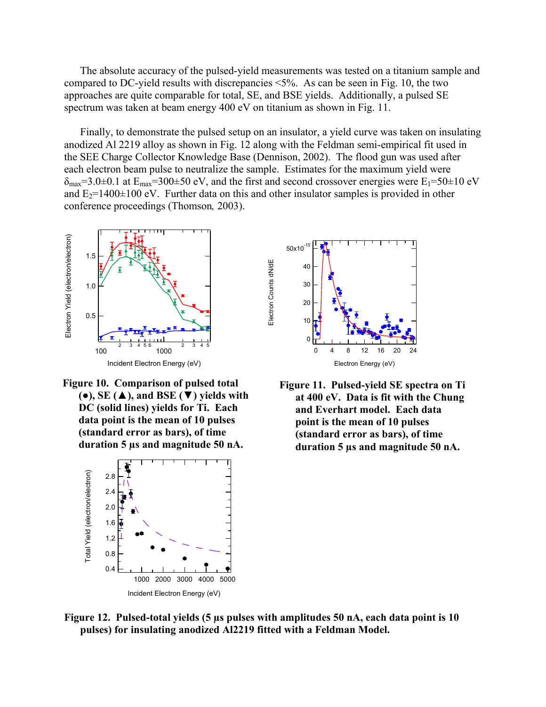The absolute accuracy of the pulsed-yield measurements was tested on a titanium sample and compared to DC-yield results with discrepancies <5%. As can be seen in Fig. 10, the two approaches are quite comparable for total, SE, and BSE yields. Additionally, a pulsed SE spectrum was taken at beam energy 400 eV on titanium as shown in Fig. 11.

Finally, to demonstrate the pulsed setup on an insulator, a yield curve was taken on insulating anodized Al 2219 alloy as shown in Fig. 12 along with the Feldman semi-empirical fit used in the SEE Charge Collector Knowledge Base (Dennison, 2002). The flood gun was used after each electron beam pulse to neutralize the sample. Estimates for the maximum yield were  $\delta_{\text{max}}=3.0\pm0.1$  at  $E_{\text{max}}=300\pm50$  eV, and the first and second crossover energies were  $E_1=50\pm10$  eV and  $E_2=1400\pm100$  eV. Further data on this and other insulator samples is provided in other conference proceedings (Thomson*,* 2003).



**Figure 10. Comparison of pulsed total (●), SE (▲), and BSE (▼) yields with DC (solid lines) yields for Ti. Each data point is the mean of 10 pulses (standard error as bars), of time duration 5 µs and magnitude 50 nA.** 





**Figure 11. Pulsed-yield SE spectra on Ti at 400 eV. Data is fit with the Chung and Everhart model. Each data point is the mean of 10 pulses (standard error as bars), of time duration 5 µs and magnitude 50 nA.**

**Figure 12. Pulsed-total yields (5 µs pulses with amplitudes 50 nA, each data point is 10 pulses) for insulating anodized Al2219 fitted with a Feldman Model.**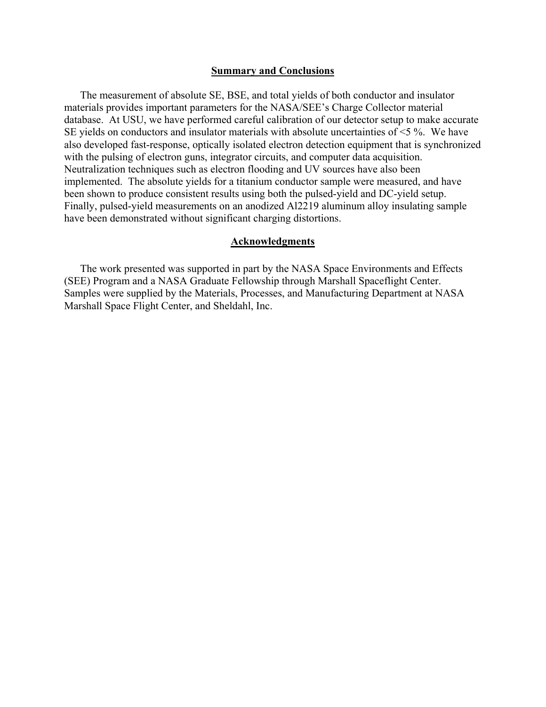### **Summary and Conclusions**

The measurement of absolute SE, BSE, and total yields of both conductor and insulator materials provides important parameters for the NASA/SEE's Charge Collector material database. At USU, we have performed careful calibration of our detector setup to make accurate SE yields on conductors and insulator materials with absolute uncertainties of <5 %. We have also developed fast-response, optically isolated electron detection equipment that is synchronized with the pulsing of electron guns, integrator circuits, and computer data acquisition. Neutralization techniques such as electron flooding and UV sources have also been implemented. The absolute yields for a titanium conductor sample were measured, and have been shown to produce consistent results using both the pulsed-yield and DC-yield setup. Finally, pulsed-yield measurements on an anodized Al2219 aluminum alloy insulating sample have been demonstrated without significant charging distortions.

## **Acknowledgments**

The work presented was supported in part by the NASA Space Environments and Effects (SEE) Program and a NASA Graduate Fellowship through Marshall Spaceflight Center. Samples were supplied by the Materials, Processes, and Manufacturing Department at NASA Marshall Space Flight Center, and Sheldahl, Inc.